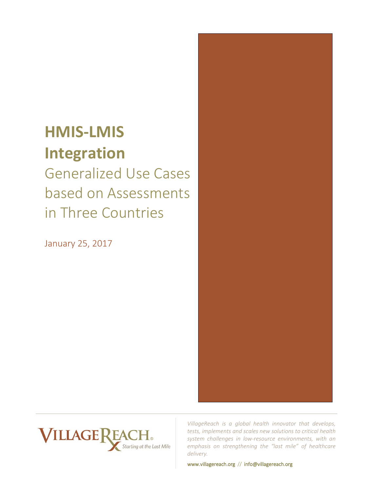# **HMIS-LMIS Integration**

Generalized Use Cases based on Assessments in Three Countries

January 25, 2017





*VillageReach is a global health innovator that develops, tests, implements and scales new solutions to critical health system challenges in low-resource environments, with an emphasis on strengthening the "last mile" of healthcare delivery.* 

www.villagereach.org // info@villagereach.org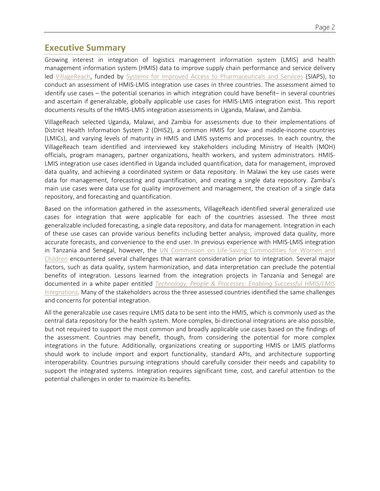## **Executive Summary**

Growing interest in integration of logistics management information system (LMIS) and health management information system (HMIS) data to improve supply chain performance and service delivery led [VillageReach,](http://www.villagereach.org/) funded by [Systems for Improved Access to Pharmaceuticals and Services](http://siapsprogram.org/) (SIAPS), to conduct an assessment of HMIS-LMIS integration use cases in three countries. The assessment aimed to identify use cases – the potential scenarios in which integration could have benefit– in several countries and ascertain if generalizable, globally applicable use cases for HMIS-LMIS integration exist. This report documents results of the HMIS-LMIS integration assessments in Uganda, Malawi, and Zambia.

VillageReach selected Uganda, Malawi, and Zambia for assessments due to their implementations of District Health Information System 2 (DHIS2), a common HMIS for low- and middle-income countries (LMICs), and varying levels of maturity in HMIS and LMIS systems and processes. In each country, the VillageReach team identified and interviewed key stakeholders including Ministry of Health (MOH) officials, program managers, partner organizations, health workers, and system administrators. HMIS-LMIS integration use cases identified in Uganda included quantification, data for management, improved data quality, and achieving a coordinated system or data repository. In Malawi the key use cases were data for management, forecasting and quantification, and creating a single data repository. Zambia's main use cases were data use for quality improvement and management, the creation of a single data repository, and forecasting and quantification.

Based on the information gathered in the assessments, VillageReach identified several generalized use cases for integration that were applicable for each of the countries assessed. The three most generalizable included forecasting, a single data repository, and data for management. Integration in each of these use cases can provide various benefits including better analysis, improved data quality, more accurate forecasts, and convenience to the end user. In previous experience with HMIS-LMIS integration in Tanzania and Senegal, however, the UN Commission on Life-Saving Commodities for Women and [Children](http://www.lifesavingcommodities.org/) encountered several challenges that warrant consideration prior to integration. Several major factors, such as data quality, system harmonization, and data interpretation can preclude the potential benefits of integration. Lessons learned from the integration projects in Tanzania and Senegal are documented in a white paper entitled *[Technology, People & Processes: Enabling Successful HMIS/LMIS](http://www.lifesavingcommodities.org/wp-content/uploads/2016/09/UNC_Integrated-Dashboard-White-Paper-FINAL.pdf)  [Integrations.](http://www.lifesavingcommodities.org/wp-content/uploads/2016/09/UNC_Integrated-Dashboard-White-Paper-FINAL.pdf)* Many of the stakeholders across the three assessed countries identified the same challenges and concerns for potential integration.

All the generalizable use cases require LMIS data to be sent into the HMIS, which is commonly used as the central data repository for the health system. More complex, bi-directional integrations are also possible, but not required to support the most common and broadly applicable use cases based on the findings of the assessment. Countries may benefit, though, from considering the potential for more complex integrations in the future. Additionally, organizations creating or supporting HMIS or LMIS platforms should work to include import and export functionality, standard APIs, and architecture supporting interoperability. Countries pursuing integrations should carefully consider their needs and capability to support the integrated systems. Integration requires significant time, cost, and careful attention to the potential challenges in order to maximize its benefits.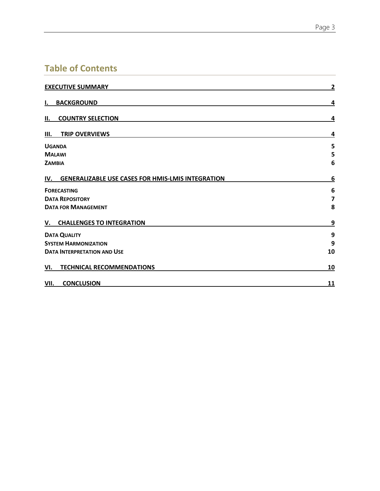# **Table of Contents**

| <b>EXECUTIVE SUMMARY</b>                              |                         |
|-------------------------------------------------------|-------------------------|
| <b>BACKGROUND</b><br>Ι.                               | 4                       |
| <b>COUNTRY SELECTION</b><br>II.                       | 4                       |
| <b>TRIP OVERVIEWS</b><br>Ш.                           | 4                       |
| <b>UGANDA</b>                                         | 5                       |
| <b>MALAWI</b>                                         | 5                       |
| <b>ZAMBIA</b>                                         | 6                       |
| IV. GENERALIZABLE USE CASES FOR HMIS-LMIS INTEGRATION | 6                       |
| <b>FORECASTING</b>                                    | 6                       |
| <b>DATA REPOSITORY</b>                                | $\overline{\mathbf{z}}$ |
| <b>DATA FOR MANAGEMENT</b>                            | 8                       |
| V. CHALLENGES TO INTEGRATION                          | 9                       |
| <b>DATA QUALITY</b>                                   | 9                       |
| <b>SYSTEM HARMONIZATION</b>                           | 9                       |
| <b>DATA INTERPRETATION AND USE</b>                    | 10                      |
| <b>TECHNICAL RECOMMENDATIONS</b><br>VI.               | 10                      |
| <b>CONCLUSION</b><br>VII.                             | <u>11</u>               |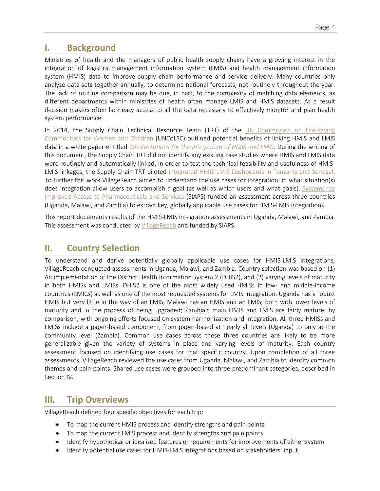# **I. Background**

Ministries of health and the managers of public health supply chains have a growing interest in the integration of logistics management information system (LMIS) and health management information system (HMIS) data to improve supply chain performance and service delivery. Many countries only analyze data sets together annually, to determine national forecasts, not routinely throughout the year. The lack of routine comparison may be due, in part, to the complexity of matching data elements, as different departments within ministries of health often manage LMIS and HMIS datasets. As a result decision makers often lack easy access to all the data necessary to effectively monitor and plan health system performance.

In 2014, the Supply Chain Technical Resource Team (TRT) of the [UN Commission on Life-Saving](http://www.everywomaneverychild.org/resources/un-commission-on-life-saving-commodities)  [Commodities](http://www.everywomaneverychild.org/resources/un-commission-on-life-saving-commodities) for Women and Children (UNCoLSC) outlined potential benefits of linking HMIS and LMIS data in a white paper entitled *[Considerations for the Integration of HMIS and LMIS.](http://www.lifesavingcommodities.org/wp-content/uploads/2014/08/Copy-of-14-126-Considerations-for-the-Integration-of-HMIS-and-LMIS_format.pdf)* During the writing of this document, the Supply Chain TRT did not identify any existing case studies where HMIS and LMIS data were routinely and automatically linked. In order to test the technical feasibility and usefulness of HMIS-LMIS linkages, the Supply Chain TRT piloted integrated HMIS-LMIS [Dashboards in Tanzania and Senegal.](http://www.lifesavingcommodities.org/integrated-rmnch-dashboard-overview/)  To further this work VillageReach aimed to understand the use cases for integration: in what situation(s) does integration allow users to accomplish a goal (as well as which users and what goals). [Systems for](http://siapsprogram.org/)  [Improved Access to Pharmaceuticals and Services](http://siapsprogram.org/) (SIAPS) funded an assessment across three countries (Uganda, Malawi, and Zambia) to extract key, globally applicable use cases for HMIS-LMIS integrations.

This report documents results of the HMIS-LMIS integration assessments in Uganda, Malawi, and Zambia. This assessment was conducted by [VillageReach](http://www.villagereach.org/) and funded by SIAPS.

# **II. Country Selection**

To understand and derive potentially globally applicable use cases for HMIS-LMIS integrations, VillageReach conducted assessments in Uganda, Malawi, and Zambia. Country selection was based on (1) An implementation of the District Health Information System 2 (DHIS2), and (2) varying levels of maturity in both HMISs and LMISs. DHIS2 is one of the most widely used HMISs in low- and middle-income countries (LMICs) as well as one of the most requested systems for LMIS integration. Uganda has a robust HMIS but very little in the way of an LMIS; Malawi has an HMIS and an LMIS, both with lower levels of maturity and in the process of being upgraded; Zambia's main HMIS and LMIS are fairly mature, by comparison, with ongoing efforts focused on system harmonization and integration. All three HMISs and LMISs include a paper-based component, from paper-based at nearly all levels (Uganda) to only at the community level (Zambia). Common use cases across these three countries are likely to be more generalizable given the variety of systems in place and varying levels of maturity. Each country assessment focused on identifying use cases for that specific country. Upon completion of all three assessments, VillageReach reviewed the use cases from Uganda, Malawi, and Zambia to identify common themes and pain-points. Shared use cases were grouped into three predominant categories, described in Section IV.

## **III. Trip Overviews**

VillageReach defined four specific objectives for each trip:

- To map the current HMIS process and identify strengths and pain points
- To map the current LMIS process and identify strengths and pain points
- Identify hypothetical or idealized features or requirements for improvements of either system
- Identify potential use cases for HMIS-LMIS integrations based on stakeholders' input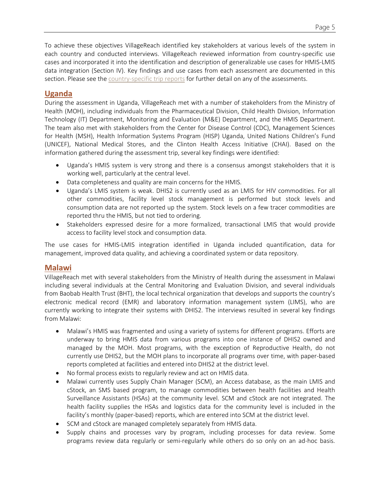To achieve these objectives VillageReach identified key stakeholders at various levels of the system in each country and conducted interviews. VillageReach reviewed information from country-specific use cases and incorporated it into the identification and description of generalizable use cases for HMIS-LMIS data integration (Section IV). Key findings and use cases from each assessment are documented in this section. Please see th[e country-specific trip reports](https://www.dropbox.com/sh/86dc28xwro6epw1/AADBpk30oRZOn_nUXccus9Kza?dl=0) for further detail on any of the assessments.

## **Uganda**

During the assessment in Uganda, VillageReach met with a number of stakeholders from the Ministry of Health (MOH), including individuals from the Pharmaceutical Division, Child Health Division, Information Technology (IT) Department, Monitoring and Evaluation (M&E) Department, and the HMIS Department. The team also met with stakeholders from the Center for Disease Control (CDC), Management Sciences for Health (MSH), Health Information Systems Program (HISP) Uganda, United Nations Children's Fund (UNICEF), National Medical Stores, and the Clinton Health Access Initiative (CHAI). Based on the information gathered during the assessment trip, several key findings were identified:

- Uganda's HMIS system is very strong and there is a consensus amongst stakeholders that it is working well, particularly at the central level.
- Data completeness and quality are main concerns for the HMIS.
- Uganda's LMIS system is weak. DHIS2 is currently used as an LMIS for HIV commodities. For all other commodities, facility level stock management is performed but stock levels and consumption data are not reported up the system. Stock levels on a few tracer commodities are reported thru the HMIS, but not tied to ordering.
- Stakeholders expressed desire for a more formalized, transactional LMIS that would provide access to facility level stock and consumption data.

The use cases for HMIS-LMIS integration identified in Uganda included quantification, data for management, improved data quality, and achieving a coordinated system or data repository.

## **Malawi**

VillageReach met with several stakeholders from the Ministry of Health during the assessment in Malawi including several individuals at the Central Monitoring and Evaluation Division, and several individuals from Baobab Health Trust (BHT), the local technical organization that develops and supports the country's electronic medical record (EMR) and laboratory information management system (LIMS), who are currently working to integrate their systems with DHIS2. The interviews resulted in several key findings from Malawi:

- Malawi's HMIS was fragmented and using a variety of systems for different programs. Efforts are underway to bring HMIS data from various programs into one instance of DHIS2 owned and managed by the MOH. Most programs, with the exception of Reproductive Health, do not currently use DHIS2, but the MOH plans to incorporate all programs over time, with paper-based reports completed at facilities and entered into DHIS2 at the district level.
- No formal process exists to regularly review and act on HMIS data.
- Malawi currently uses Supply Chain Manager (SCM), an Access database, as the main LMIS and cStock, an SMS based program, to manage commodities between health facilities and Health Surveillance Assistants (HSAs) at the community level. SCM and cStock are not integrated. The health facility supplies the HSAs and logistics data for the community level is included in the facility's monthly (paper-based) reports, which are entered into SCM at the district level.
- SCM and cStock are managed completely separately from HMIS data.
- Supply chains and processes vary by program, including processes for data review. Some programs review data regularly or semi-regularly while others do so only on an ad-hoc basis.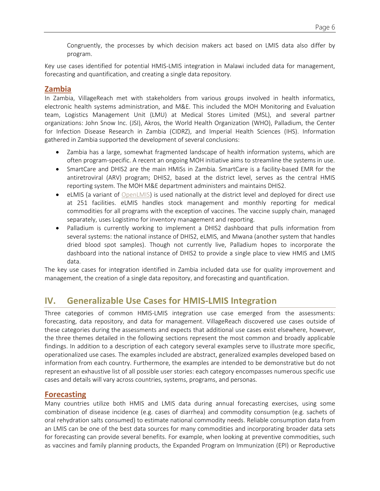Congruently, the processes by which decision makers act based on LMIS data also differ by program.

Key use cases identified for potential HMIS-LMIS integration in Malawi included data for management, forecasting and quantification, and creating a single data repository.

## **Zambia**

In Zambia, VillageReach met with stakeholders from various groups involved in health informatics, electronic health systems administration, and M&E. This included the MOH Monitoring and Evaluation team, Logistics Management Unit (LMU) at Medical Stores Limited (MSL), and several partner organizations: John Snow Inc. (JSI), Akros, the World Health Organization (WHO), Palladium, the Center for Infection Disease Research in Zambia (CIDRZ), and Imperial Health Sciences (IHS). Information gathered in Zambia supported the development of several conclusions:

- Zambia has a large, somewhat fragmented landscape of health information systems, which are often program-specific. A recent an ongoing MOH initiative aims to streamline the systems in use.
- SmartCare and DHIS2 are the main HMISs in Zambia. SmartCare is a facility-based EMR for the antiretroviral (ARV) program; DHIS2, based at the district level, serves as the central HMIS reporting system. The MOH M&E department administers and maintains DHIS2.
- eLMIS (a variant of [OpenLMIS\)](http://openlmis.org/) is used nationally at the district level and deployed for direct use at 251 facilities. eLMIS handles stock management and monthly reporting for medical commodities for all programs with the exception of vaccines. The vaccine supply chain, managed separately, uses Logistimo for inventory management and reporting.
- Palladium is currently working to implement a DHIS2 dashboard that pulls information from several systems: the national instance of DHIS2, eLMIS, and Mwana (another system that handles dried blood spot samples). Though not currently live, Palladium hopes to incorporate the dashboard into the national instance of DHIS2 to provide a single place to view HMIS and LMIS data.

The key use cases for integration identified in Zambia included data use for quality improvement and management, the creation of a single data repository, and forecasting and quantification.

# **IV. Generalizable Use Cases for HMIS-LMIS Integration**

Three categories of common HMIS-LMIS integration use case emerged from the assessments: forecasting, data repository, and data for management. VillageReach discovered use cases outside of these categories during the assessments and expects that additional use cases exist elsewhere, however, the three themes detailed in the following sections represent the most common and broadly applicable findings. In addition to a description of each category several examples serve to illustrate more specific, operationalized use cases. The examples included are abstract, generalized examples developed based on information from each country. Furthermore, the examples are intended to be demonstrative but do not represent an exhaustive list of all possible user stories: each category encompasses numerous specific use cases and details will vary across countries, systems, programs, and personas.

### **Forecasting**

Many countries utilize both HMIS and LMIS data during annual forecasting exercises, using some combination of disease incidence (e.g. cases of diarrhea) and commodity consumption (e.g. sachets of oral rehydration salts consumed) to estimate national commodity needs. Reliable consumption data from an LMIS can be one of the best data sources for many commodities and incorporating broader data sets for forecasting can provide several benefits. For example, when looking at preventive commodities, such as vaccines and family planning products, the Expanded Program on Immunization (EPI) or Reproductive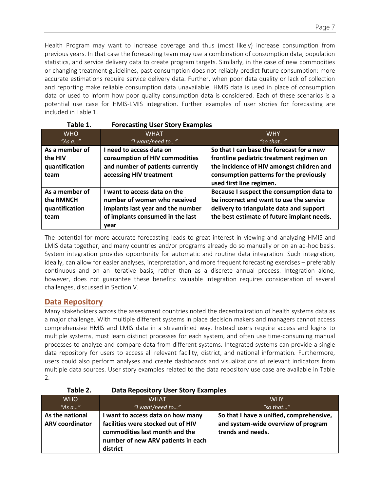Health Program may want to increase coverage and thus (most likely) increase consumption from previous years. In that case the forecasting team may use a combination of consumption data, population statistics, and service delivery data to create program targets. Similarly, in the case of new commodities or changing treatment guidelines, past consumption does not reliably predict future consumption: more accurate estimations require service delivery data. Further, when poor data quality or lack of collection and reporting make reliable consumption data unavailable, HMIS data is used in place of consumption data or used to inform how poor quality consumption data is considered. Each of these scenarios is a potential use case for HMIS-LMIS integration. Further examples of user stories for forecasting are included in Table 1.

| Table 1.       | <b>Forecasting User Story Examples</b> |                                            |
|----------------|----------------------------------------|--------------------------------------------|
| <b>WHO</b>     | <b>WHAT</b>                            | <b>WHY</b>                                 |
| "As $a$ "      | "I want/need to"                       | "so that"                                  |
| As a member of | I need to access data on               | So that I can base the forecast for a new  |
| the HIV        | consumption of HIV commodities         | frontline pediatric treatment regimen on   |
| quantification | and number of patients currently       | the incidence of HIV amongst children and  |
| team           | accessing HIV treatment                | consumption patterns for the previously    |
|                |                                        | used first line regimen.                   |
| As a member of | I want to access data on the           | Because I suspect the consumption data to  |
| the RMNCH      | number of women who received           | be incorrect and want to use the service   |
| quantification | implants last year and the number      | delivery to triangulate data and support   |
| team           | of implants consumed in the last       | the best estimate of future implant needs. |
|                | year                                   |                                            |

The potential for more accurate forecasting leads to great interest in viewing and analyzing HMIS and LMIS data together, and many countries and/or programs already do so manually or on an ad-hoc basis. System integration provides opportunity for automatic and routine data integration. Such integration, ideally, can allow for easier analyses, interpretation, and more frequent forecasting exercises – preferably continuous and on an iterative basis, rather than as a discrete annual process. Integration alone, however, does not guarantee these benefits: valuable integration requires consideration of several challenges, discussed in Section V.

## **Data Repository**

Many stakeholders across the assessment countries noted the decentralization of health systems data as a major challenge. With multiple different systems in place decision makers and managers cannot access comprehensive HMIS and LMIS data in a streamlined way. Instead users require access and logins to multiple systems, must learn distinct processes for each system, and often use time-consuming manual processes to analyze and compare data from different systems. Integrated systems can provide a single data repository for users to access all relevant facility, district, and national information. Furthermore, users could also perform analyses and create dashboards and visualizations of relevant indicators from multiple data sources. User story examples related to the data repository use case are available in Table 2.

| Table Z.               | Data Repository Oser Story Examples                                                                                    |                                                          |
|------------------------|------------------------------------------------------------------------------------------------------------------------|----------------------------------------------------------|
| <b>WHO</b>             | <b>WHAT</b>                                                                                                            | <b>WHY</b>                                               |
| "As $a$ "              | "I want/need to"                                                                                                       | "so that"                                                |
| As the national        | I want to access data on how many                                                                                      | So that I have a unified, comprehensive,                 |
| <b>ARV coordinator</b> | facilities were stocked out of HIV<br>commodities last month and the<br>number of new ARV patients in each<br>district | and system-wide overview of program<br>trends and needs. |

### **Table 2. Data Repository User Story Examples**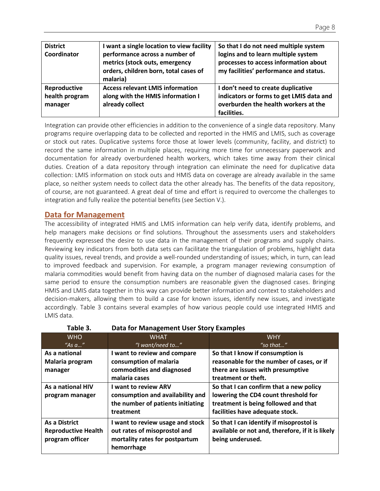| <b>District</b><br>Coordinator            | I want a single location to view facility<br>performance across a number of<br>metrics (stock outs, emergency | So that I do not need multiple system<br>logins and to learn multiple system<br>processes to access information about                 |
|-------------------------------------------|---------------------------------------------------------------------------------------------------------------|---------------------------------------------------------------------------------------------------------------------------------------|
|                                           | orders, children born, total cases of<br>malaria)                                                             | my facilities' performance and status.                                                                                                |
| Reproductive<br>health program<br>manager | <b>Access relevant LMIS information</b><br>along with the HMIS information I<br>already collect               | I don't need to create duplicative<br>indicators or forms to get LMIS data and<br>overburden the health workers at the<br>facilities. |

Integration can provide other efficiencies in addition to the convenience of a single data repository. Many programs require overlapping data to be collected and reported in the HMIS and LMIS, such as coverage or stock out rates. Duplicative systems force those at lower levels (community, facility, and district) to record the same information in multiple places, requiring more time for unnecessary paperwork and documentation for already overburdened health workers, which takes time away from their clinical duties. Creation of a data repository through integration can eliminate the need for duplicative data collection: LMIS information on stock outs and HMIS data on coverage are already available in the same place, so neither system needs to collect data the other already has. The benefits of the data repository, of course, are not guaranteed. A great deal of time and effort is required to overcome the challenges to integration and fully realize the potential benefits (see Section V.).

### **Data for Management**

The accessibility of integrated HMIS and LMIS information can help verify data, identify problems, and help managers make decisions or find solutions. Throughout the assessments users and stakeholders frequently expressed the desire to use data in the management of their programs and supply chains. Reviewing key indicators from both data sets can facilitate the triangulation of problems, highlight data quality issues, reveal trends, and provide a well-rounded understanding of issues; which, in turn, can lead to improved feedback and supervision. For example, a program manager reviewing consumption of malaria commodities would benefit from having data on the number of diagnosed malaria cases for the same period to ensure the consumption numbers are reasonable given the diagnosed cases. Bringing HMIS and LMIS data together in this way can provide better information and context to stakeholders and decision-makers, allowing them to build a case for known issues, identify new issues, and investigate accordingly. Table 3 contains several examples of how various people could use integrated HMIS and LMIS data.

|                            | Pata 101 Management 9961 9101 , Examples |                                                  |
|----------------------------|------------------------------------------|--------------------------------------------------|
| <b>WHO</b>                 | <b>WHAT</b>                              | <b>WHY</b>                                       |
| "As $a$ "                  | "I want/need to"                         | "so that"                                        |
| As a national              | I want to review and compare             | So that I know if consumption is                 |
| Malaria program            | consumption of malaria                   | reasonable for the number of cases, or if        |
| manager                    | commodities and diagnosed                | there are issues with presumptive                |
|                            | malaria cases                            | treatment or theft.                              |
| As a national HIV          | I want to review ARV                     | So that I can confirm that a new policy          |
| program manager            | consumption and availability and         | lowering the CD4 count threshold for             |
|                            | the number of patients initiating        | treatment is being followed and that             |
|                            | treatment                                | facilities have adequate stock.                  |
| As a District              | I want to review usage and stock         | So that I can identify if misoprostol is         |
| <b>Reproductive Health</b> | out rates of misoprostol and             | available or not and, therefore, if it is likely |
| program officer            | mortality rates for postpartum           | being underused.                                 |
|                            | hemorrhage                               |                                                  |
|                            |                                          |                                                  |

#### **Table 3. Data for Management User Story Examples**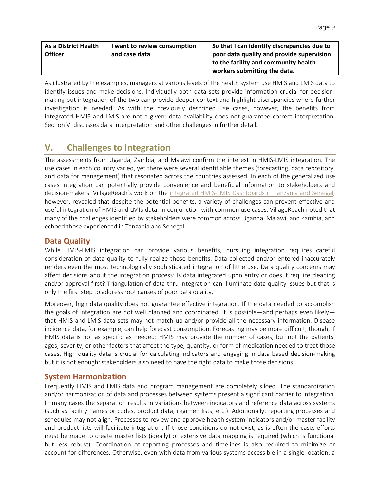| <b>As a District Health</b><br><b>Officer</b> | I want to review consumption<br>and case data | So that I can identify discrepancies due to<br>poor data quality and provide supervision<br>to the facility and community health |
|-----------------------------------------------|-----------------------------------------------|----------------------------------------------------------------------------------------------------------------------------------|
|                                               |                                               | workers submitting the data.                                                                                                     |

As illustrated by the examples, managers at various levels of the health system use HMIS and LMIS data to identify issues and make decisions. Individually both data sets provide information crucial for decisionmaking but integration of the two can provide deeper context and highlight discrepancies where further investigation is needed. As with the previously described use cases, however, the benefits from integrated HMIS and LMIS are not a given: data availability does not guarantee correct interpretation. Section V. discusses data interpretation and other challenges in further detail.

# **V. Challenges to Integration**

The assessments from Uganda, Zambia, and Malawi confirm the interest in HMIS-LMIS integration. The use cases in each country varied, yet there were several identifiable themes (forecasting, data repository, and data for management) that resonated across the countries assessed. In each of the generalized use cases integration can potentially provide convenience and beneficial information to stakeholders and decision-makers. VillageReach's work on the integrated HMIS-LMIS Dashboards in Tanzania and Senegal, however, revealed that despite the potential benefits, a variety of challenges can prevent effective and useful integration of HMIS and LMIS data. In conjunction with common use cases, VillageReach noted that many of the challenges identified by stakeholders were common across Uganda, Malawi, and Zambia, and echoed those experienced in Tanzania and Senegal.

## **Data Quality**

While HMIS-LMIS integration can provide various benefits, pursuing integration requires careful consideration of data quality to fully realize those benefits. Data collected and/or entered inaccurately renders even the most technologically sophisticated integration of little use. Data quality concerns may affect decisions about the integration process: Is data integrated upon entry or does it require cleaning and/or approval first? Triangulation of data thru integration can illuminate data quality issues but that is only the first step to address root causes of poor data quality.

Moreover, high data quality does not guarantee effective integration. If the data needed to accomplish the goals of integration are not well planned and coordinated, it is possible—and perhaps even likely that HMIS and LMIS data sets may not match up and/or provide all the necessary information. Disease incidence data, for example, can help forecast consumption. Forecasting may be more difficult, though, if HMIS data is not as specific as needed: HMIS may provide the number of cases, but not the patients' ages, severity, or other factors that affect the type, quantity, or form of medication needed to treat those cases. High quality data is crucial for calculating indicators and engaging in data based decision-making but it is not enough: stakeholders also need to have the right data to make those decisions.

### **System Harmonization**

Frequently HMIS and LMIS data and program management are completely siloed. The standardization and/or harmonization of data and processes between systems present a significant barrier to integration. In many cases the separation results in variations between indicators and reference data across systems (such as facility names or codes, product data, regimen lists, etc.). Additionally, reporting processes and schedules may not align. Processes to review and approve health system indicators and/or master facility and product lists will facilitate integration. If those conditions do not exist, as is often the case, efforts must be made to create master lists (ideally) or extensive data mapping is required (which is functional but less robust). Coordination of reporting processes and timelines is also required to minimize or account for differences. Otherwise, even with data from various systems accessible in a single location, a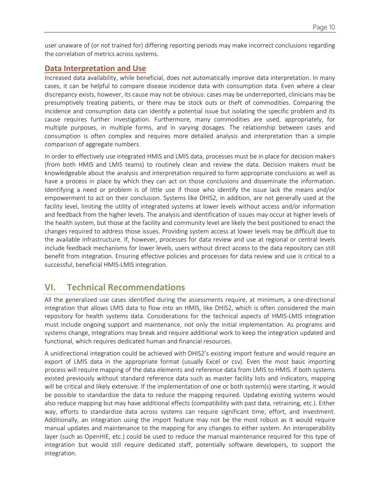user unaware of (or not trained for) differing reporting periods may make incorrect conclusions regarding the correlation of metrics across systems.

#### **Data Interpretation and Use**

Increased data availability, while beneficial, does not automatically improve data interpretation. In many cases, it can be helpful to compare disease incidence data with consumption data. Even where a clear discrepancy exists, however, its cause may not be obvious: cases may be underreported, clinicians may be presumptively treating patients, or there may be stock outs or theft of commodities. Comparing the incidence and consumption data can identify a potential issue but isolating the specific problem and its cause requires further investigation. Furthermore, many commodities are used, appropriately, for multiple purposes, in multiple forms, and in varying dosages. The relationship between cases and consumption is often complex and requires more detailed analysis and interpretation than a simple comparison of aggregate numbers.

In order to effectively use integrated HMIS and LMIS data, processes must be in place for decision makers (from both HMIS and LMIS teams) to routinely clean and review the data. Decision makers must be knowledgeable about the analysis and interpretation required to form appropriate conclusions as well as have a process in place by which they can act on those conclusions and disseminate the information. Identifying a need or problem is of little use if those who identify the issue lack the means and/or empowerment to act on their conclusion. Systems like DHIS2, in addition, are not generally used at the facility level, limiting the utility of integrated systems at lower levels without access and/or information and feedback from the higher levels. The analysis and identification of issues may occur at higher levels of the health system, but those at the facility and community level are likely the best positioned to enact the changes required to address those issues. Providing system access at lower levels may be difficult due to the available infrastructure. If, however, processes for data review and use at regional or central levels include feedback mechanisms for lower levels, users without direct access to the data repository can still benefit from integration. Ensuring effective policies and processes for data review and use is critical to a successful, beneficial HMIS-LMIS integration.

# **VI. Technical Recommendations**

All the generalized use cases identified during the assessments require, at minimum, a one-directional integration that allows LMIS data to flow into an HMIS, like DHIS2, which is often considered the main repository for health systems data. Considerations for the technical aspects of HMIS-LMIS integration must include ongoing support and maintenance, not only the initial implementation. As programs and systems change, integrations may break and require additional work to keep the integration updated and functional, which requires dedicated human and financial resources.

A unidirectional integration could be achieved with DHIS2's existing import feature and would require an export of LMIS data in the appropriate format (usually Excel or csv). Even the most basic importing process will require mapping of the data elements and reference data from LMIS to HMIS. If both systems existed previously without standard reference data such as master facility lists and indicators, mapping will be critical and likely extensive. If the implementation of one or both system(s) were starting, it would be possible to standardize the data to reduce the mapping required. Updating existing systems would also reduce mapping but may have additional effects (compatibility with past data, retraining, etc.). Either way, efforts to standardize data across systems can require significant time, effort, and investment. Additionally, an integration using the import feature may not be the most robust as it would require manual updates and maintenance to the mapping for any changes to either system. An interoperability layer (such as OpenHIE, etc.) could be used to reduce the manual maintenance required for this type of integration but would still require dedicated staff, potentially software developers, to support the integration.